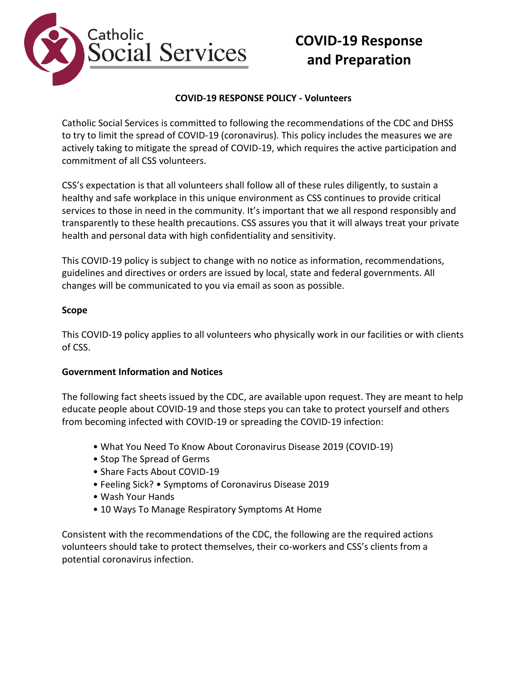

# **COVID-19 Response and Preparation**

### **COVID-19 RESPONSE POLICY - Volunteers**

Catholic Social Services is committed to following the recommendations of the CDC and DHSS to try to limit the spread of COVID-19 (coronavirus). This policy includes the measures we are actively taking to mitigate the spread of COVID-19, which requires the active participation and commitment of all CSS volunteers.

CSS's expectation is that all volunteers shall follow all of these rules diligently, to sustain a healthy and safe workplace in this unique environment as CSS continues to provide critical services to those in need in the community. It's important that we all respond responsibly and transparently to these health precautions. CSS assures you that it will always treat your private health and personal data with high confidentiality and sensitivity.

This COVID-19 policy is subject to change with no notice as information, recommendations, guidelines and directives or orders are issued by local, state and federal governments. All changes will be communicated to you via email as soon as possible.

#### **Scope**

This COVID-19 policy applies to all volunteers who physically work in our facilities or with clients of CSS.

#### **Government Information and Notices**

The following fact sheets issued by the CDC, are available upon request. They are meant to help educate people about COVID-19 and those steps you can take to protect yourself and others from becoming infected with COVID-19 or spreading the COVID-19 infection:

- What You Need To Know About Coronavirus Disease 2019 (COVID-19)
- Stop The Spread of Germs
- Share Facts About COVID-19
- Feeling Sick? Symptoms of Coronavirus Disease 2019
- Wash Your Hands
- 10 Ways To Manage Respiratory Symptoms At Home

Consistent with the recommendations of the CDC, the following are the required actions volunteers should take to protect themselves, their co-workers and CSS's clients from a potential coronavirus infection.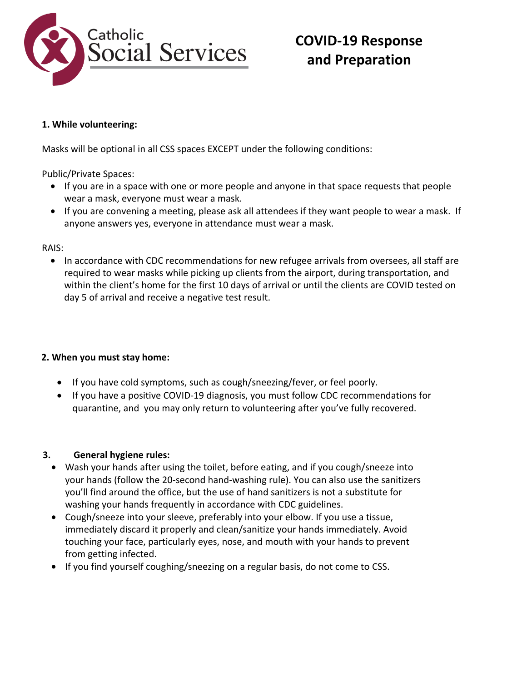

# **COVID-19 Response and Preparation**

### **1. While volunteering:**

Masks will be optional in all CSS spaces EXCEPT under the following conditions:

Public/Private Spaces:

- If you are in a space with one or more people and anyone in that space requests that people wear a mask, everyone must wear a mask.
- If you are convening a meeting, please ask all attendees if they want people to wear a mask. If anyone answers yes, everyone in attendance must wear a mask.

RAIS:

• In accordance with CDC recommendations for new refugee arrivals from oversees, all staff are required to wear masks while picking up clients from the airport, during transportation, and within the client's home for the first 10 days of arrival or until the clients are COVID tested on day 5 of arrival and receive a negative test result.

## **2. When you must stay home:**

- If you have cold symptoms, such as cough/sneezing/fever, or feel poorly.
- If you have a positive COVID-19 diagnosis, you must follow CDC recommendations for quarantine, and you may only return to volunteering after you've fully recovered.

# **3. General hygiene rules:**

- Wash your hands after using the toilet, before eating, and if you cough/sneeze into your hands (follow the 20-second hand-washing rule). You can also use the sanitizers you'll find around the office, but the use of hand sanitizers is not a substitute for washing your hands frequently in accordance with CDC guidelines.
- Cough/sneeze into your sleeve, preferably into your elbow. If you use a tissue, immediately discard it properly and clean/sanitize your hands immediately. Avoid touching your face, particularly eyes, nose, and mouth with your hands to prevent from getting infected.
- If you find yourself coughing/sneezing on a regular basis, do not come to CSS.